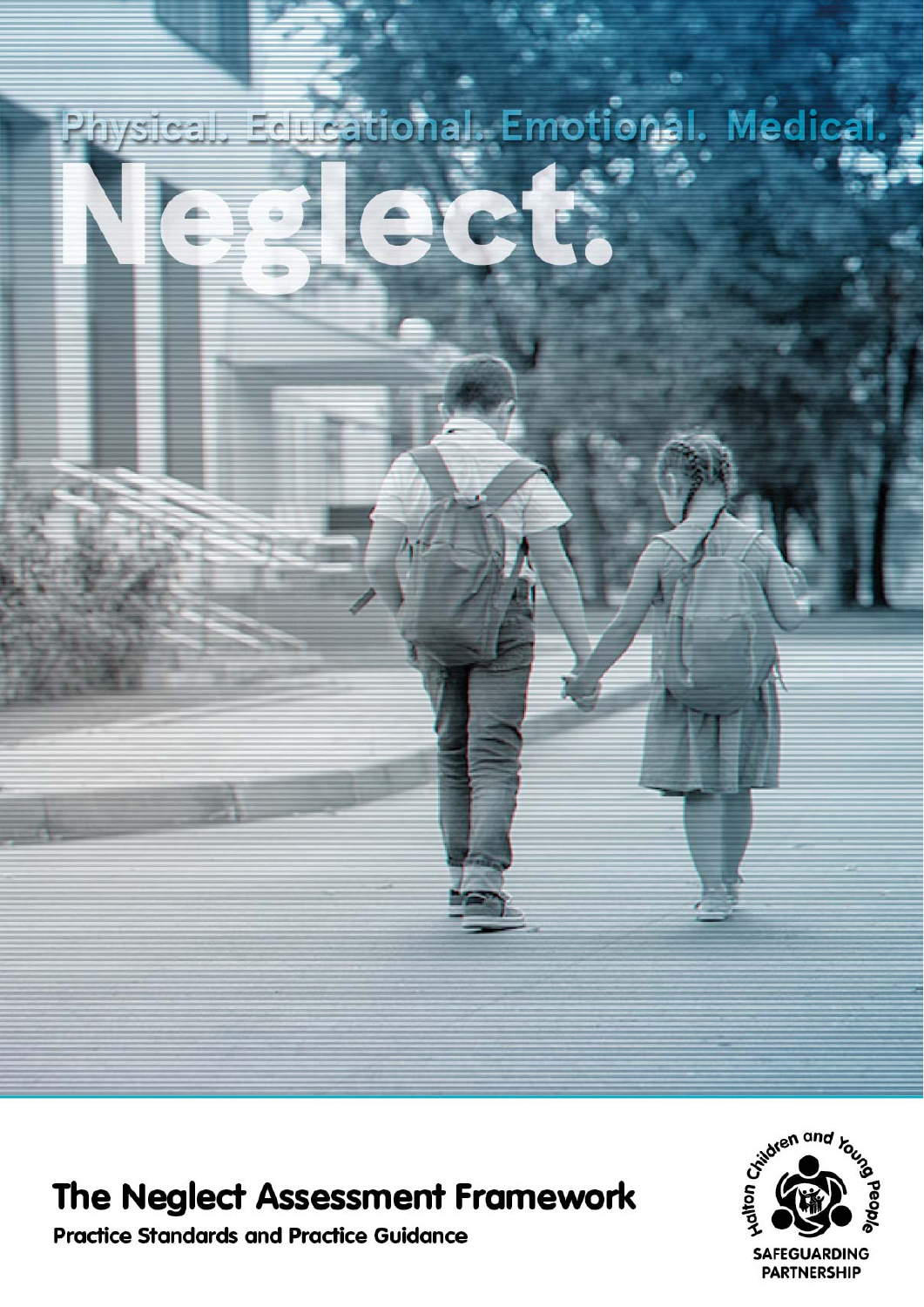# Educational. Emotional. Medical.<br>Educational. Emotional. Medical.

# The Neglect Assessment Framework

**Practice Standards and Practice Guidance** 

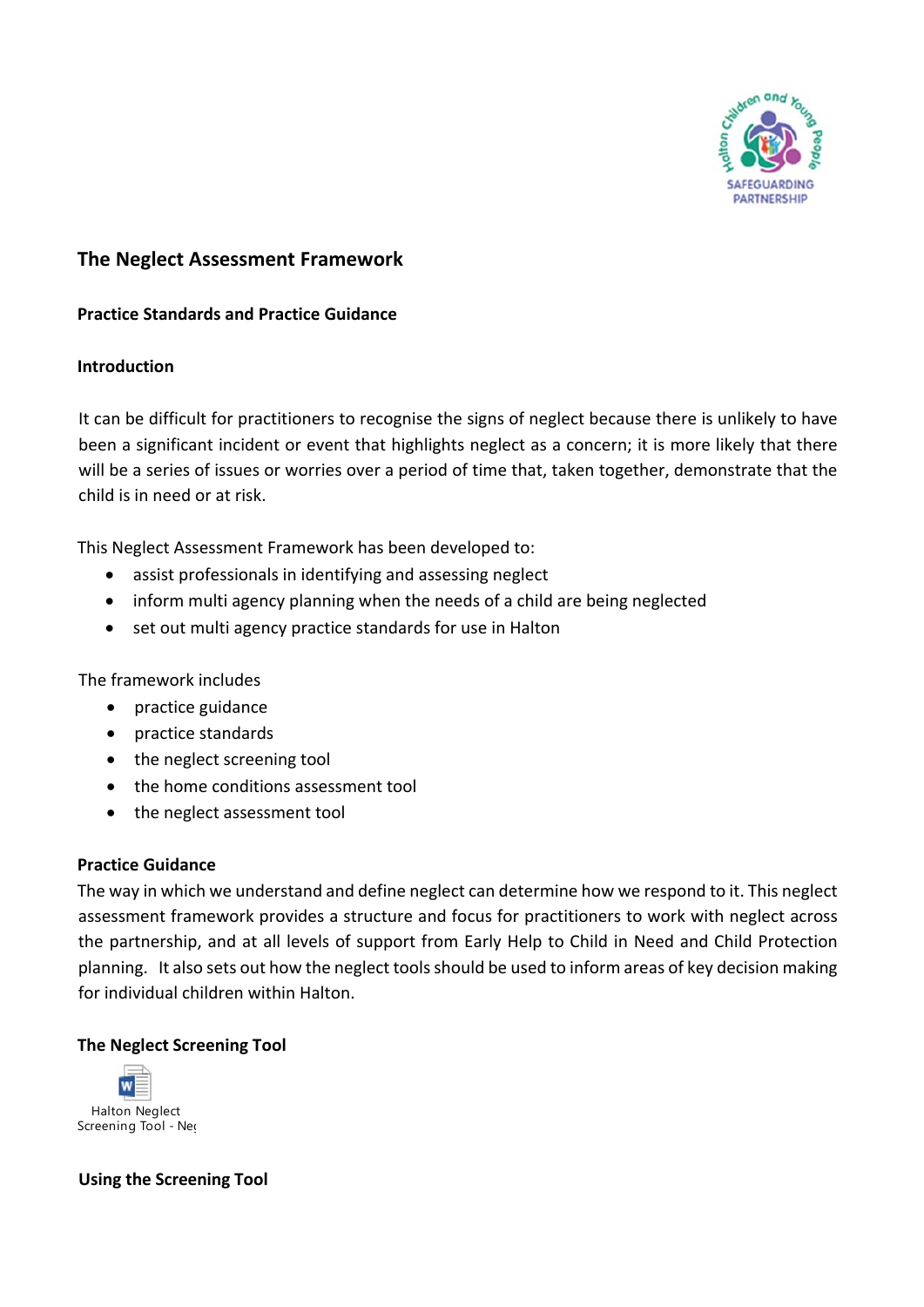

## **The Neglect Assessment Framework**

### **Practice Standards and Practice Guidance**

### **Introduction**

It can be difficult for practitioners to recognise the signs of neglect because there is unlikely to have been a significant incident or event that highlights neglect as a concern; it is more likely that there will be a series of issues or worries over a period of time that, taken together, demonstrate that the child is in need or at risk.

This Neglect Assessment Framework has been developed to:

- assist professionals in identifying and assessing neglect
- inform multi agency planning when the needs of a child are being neglected
- set out multi agency practice standards for use in Halton

The framework includes

- practice guidance
- practice standards
- the neglect screening tool
- the home conditions assessment tool
- the neglect assessment tool

### **Practice Guidance**

The way in which we understand and define neglect can determine how we respond to it. This neglect assessment framework provides a structure and focus for practitioners to work with neglect across the partnership, and at all levels of support from Early Help to Child in Need and Child Protection planning. It also sets out how the neglect toolsshould be used to inform areas of key decision making for individual children within Halton.

### **The Neglect Screening Tool**



### **Using the Screening Tool**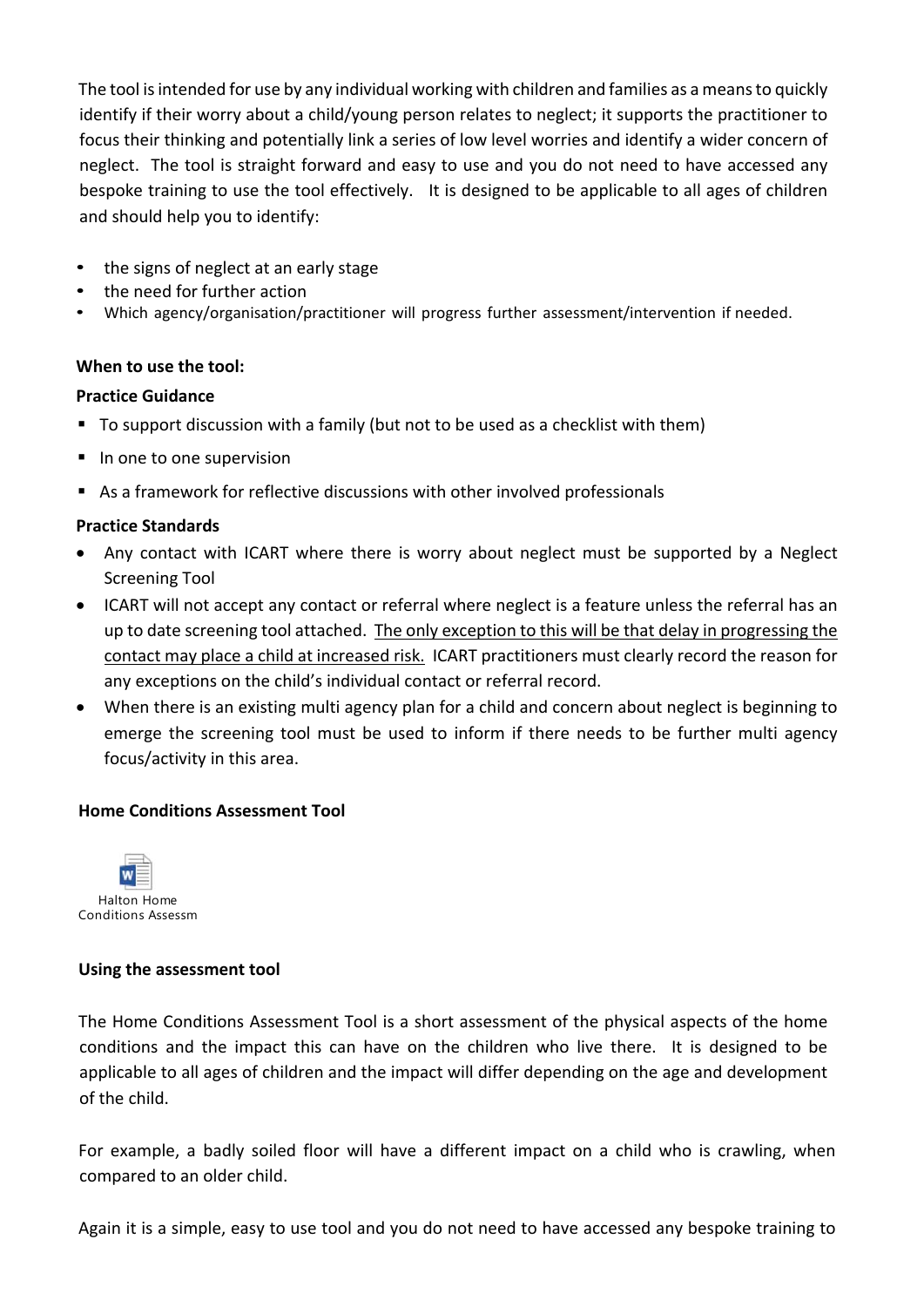The tool is intended for use by any individual working with children and families as a means to quickly identify if their worry about a child/young person relates to neglect; it supports the practitioner to focus their thinking and potentially link a series of low level worries and identify a wider concern of neglect. The tool is straight forward and easy to use and you do not need to have accessed any bespoke training to use the tool effectively. It is designed to be applicable to all ages of children and should help you to identify:

- the signs of neglect at an early stage
- the need for further action
- Which agency/organisation/practitioner will progress further assessment/intervention if needed.

### **When to use the tool:**

### **Practice Guidance**

- To support discussion with a family (but not to be used as a checklist with them)
- In one to one supervision
- As a framework for reflective discussions with other involved professionals

### **Practice Standards**

- Any contact with ICART where there is worry about neglect must be supported by a Neglect Screening Tool
- ICART will not accept any contact or referral where neglect is a feature unless the referral has an up to date screening tool attached. The only exception to this will be that delay in progressing the contact may place a child at increased risk. ICART practitioners must clearly record the reason for any exceptions on the child's individual contact or referral record.
- When there is an existing multi agency plan for a child and concern about neglect is beginning to emerge the screening tool must be used to inform if there needs to be further multi agency focus/activity in this area.

### **Home Conditions Assessment Tool**



### **Using the assessment tool**

The Home Conditions Assessment Tool is a short assessment of the physical aspects of the home conditions and the impact this can have on the children who live there. It is designed to be applicable to all ages of children and the impact will differ depending on the age and development of the child.

For example, a badly soiled floor will have a different impact on a child who is crawling, when compared to an older child.

Again it is a simple, easy to use tool and you do not need to have accessed any bespoke training to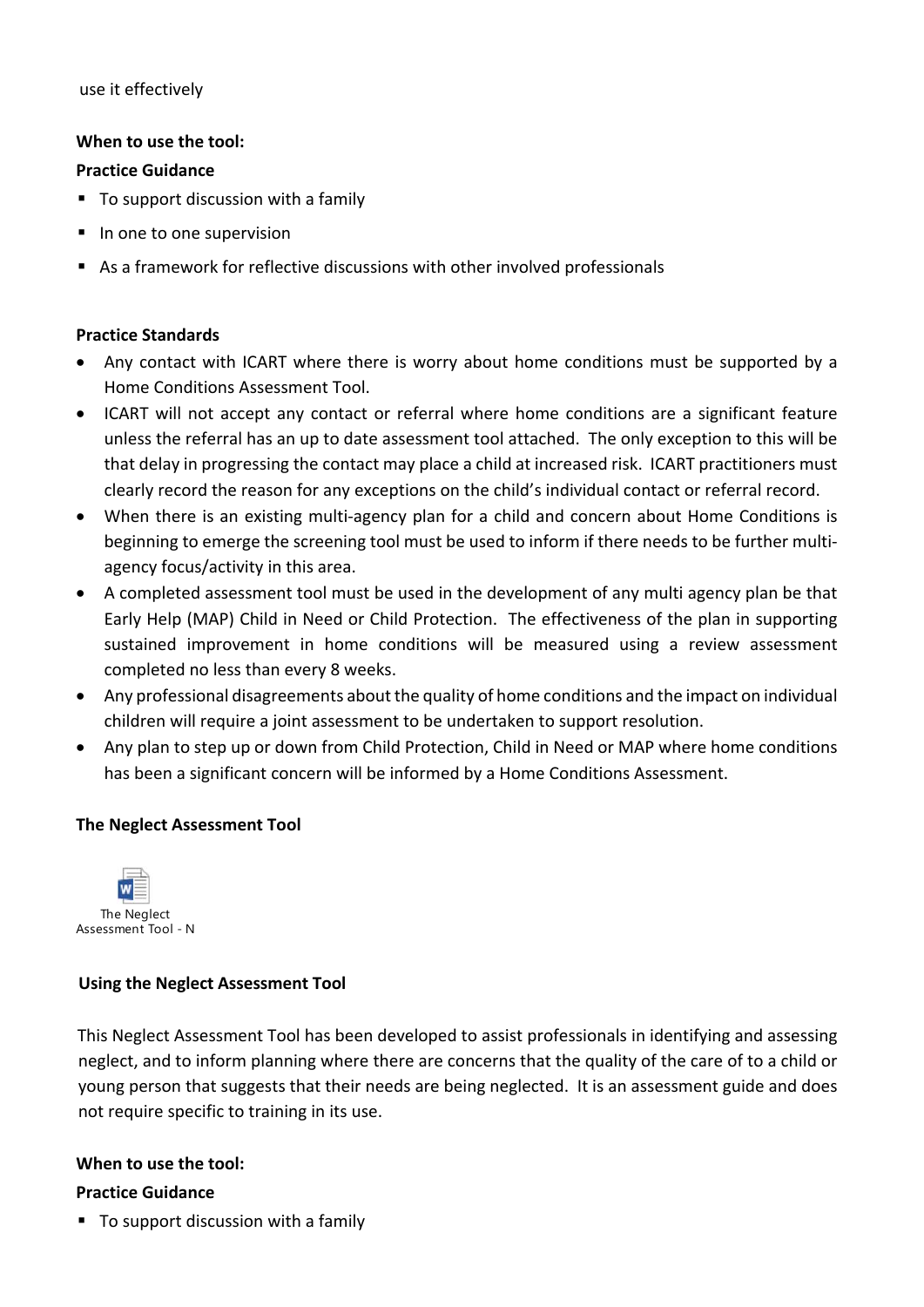use it effectively

### **When to use the tool:**

### **Practice Guidance**

- To support discussion with a family
- In one to one supervision
- As a framework for reflective discussions with other involved professionals

### **Practice Standards**

- Any contact with ICART where there is worry about home conditions must be supported by a Home Conditions Assessment Tool.
- ICART will not accept any contact or referral where home conditions are a significant feature unless the referral has an up to date assessment tool attached. The only exception to this will be that delay in progressing the contact may place a child at increased risk. ICART practitioners must clearly record the reason for any exceptions on the child's individual contact or referral record.
- When there is an existing multi-agency plan for a child and concern about Home Conditions is beginning to emerge the screening tool must be used to inform if there needs to be further multi‐ agency focus/activity in this area.
- A completed assessment tool must be used in the development of any multi agency plan be that Early Help (MAP) Child in Need or Child Protection. The effectiveness of the plan in supporting sustained improvement in home conditions will be measured using a review assessment completed no less than every 8 weeks.
- Any professional disagreements about the quality of home conditions and the impact on individual children will require a joint assessment to be undertaken to support resolution.
- Any plan to step up or down from Child Protection, Child in Need or MAP where home conditions has been a significant concern will be informed by a Home Conditions Assessment.

### **The Neglect Assessment Tool**



### **Using the Neglect Assessment Tool**

This Neglect Assessment Tool has been developed to assist professionals in identifying and assessing neglect, and to inform planning where there are concerns that the quality of the care of to a child or young person that suggests that their needs are being neglected. It is an assessment guide and does not require specific to training in its use.

### **When to use the tool:**

### **Practice Guidance**

■ To support discussion with a family